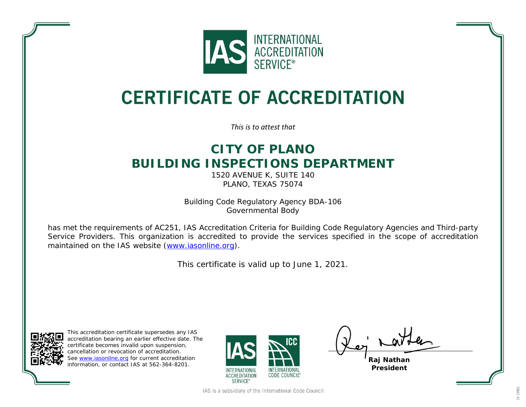

## **CERTIFICATE OF ACCREDITATION**

*This is to attest that*

## **CITY OF PLANO BUILDING INSPECTIONS DEPARTMENT**

1520 AVENUE K, SUITE 140 PLANO, TEXAS 75074

Building Code Regulatory Agency BDA-106 Governmental Body

has met the requirements of AC251, *IAS Accreditation Criteria for Building Code Regulatory Agencies and Third-party Service Providers*. This organization is accredited to provide the services specified in the scope of accreditation maintained on the IAS website [\(www.iasonline.org\)](http://www.iasonline.org/).

This certificate is valid up to June 1, 2021.



This accreditation certificate supersedes any IAS accreditation bearing an earlier effective date. The certificate becomes invalid upon suspension, cancellation or revocation of accreditation. See [www.iasonline.org](http://www.iasonline.org/) for current accreditation information, or contact IAS at 562-364-8201.



**Raj Nathan President**